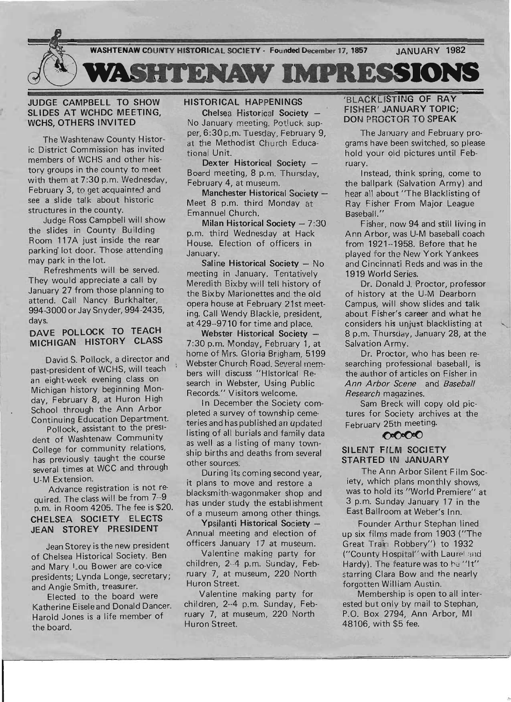

# JUDGE CAMPBELL TO SHOW SLIDES AT WCHDC MEETING, WCHS, OTHERS INVITED

The Washtenaw County Historic District Commission has invited members of WCHS and other history groups in the county to meet with them at 7:30 p.m. Wednesday, February 3, to get acquainted and see a slide talk about historic structures in the county.

Judge Ross Campbell will show the slides in County Building Room 117A just inside the rear parking lot door. Those attending may park in the lot.

Refreshments will be served. They would appreciate a call by January 27 from those planning to attend. Call Nancy Burkhalter, 994-3000 or Jay Snyder, 994-2435, days,

# DAVE POLLOCK TO TEACH MICHIGAN HISTORY CLASS

David S. Pollock, a director and past-president of WCHS, will teach an eight-week evening class on Michigan history beginning Monday, February 8, at Huron High School through the Ann Arbor Continuing Education Department.

Pollock, assistant to the president of Washtenaw Community College for community relations, has previously taught the course several times at WCC and through U-M Extension.

Advance registration is not required. The class will be from 7--9 p.m. in Room 4205. The fee is \$20. CHELSEA SOCIETY ELECTS JEAN STOREY PRESIDENT

Jean Storey is the new president of Chelsea Historical Society. Ben and Mary '\_ou Bower are co-vice presidents; Lynda Longe, secretary; and Angie Smith, treasurer.

Elected to the board were Katherine Eisele and Donald Dancer. Harold Jones is a life member of the board.

# HISTORICAL HAPPENINGS

Chelsea Historical Society No January meeting. Potluck supper, 6:30 p.m. Tuesday, February 9, at the Methodist Church Educational Unit.

Dexter Historical Society -Board meeting, 8 p.m. Thursday, February 4, at museum.

Manchester Historical Society -Meet 8 p.m. third Monday at Emannuel Church.

Milan Historical Society  $-7:30$ p.m. third Wednesday at Hack House. Election of officers in January.

Saline Historical Society - No meeting in January. Tentatively Meredith Bixby will tell history of the Bixby Marionettes and the old opera house at February 21st meeting. Call Wendy Blackie, president, at 429--9710 for time and place.

Webster Historical Society -7:30 p.m. Monday, February 1, at home of Mrs. Gloria Brigham, 5199 Webster Church Road. Several members will discuss "Historical Research in Webster, Using Public Records." Visitors welcome.

In December the Society completed n survey of township cemeteries and has published an updated listing of all burials and family data as well as a listing of many township births and deaths from several other sources.

During its coming second year, it plans to move and restore a blacksmith-wagonmaker shop and has under study the establishment of a museum among other things.

Ypsilanti Historical Society -Annual meeting and election of officers January 17 at museum.

Valentine making party for children, 2--4 p.m. Sunday, February 7, at museum, 220 North Huron Street.

Valentine making party for children, 2--4 p.m. Sunday, February 7, at museum, 220 North Huron Street.

# 'BLACKLISTING OF RAY FISHER' JANUARY TOPIC; DON PROCTOR TO SPEAK

The January and February programs have been switched, so please hold your old pictures until February.

Instead, think spring, come to the ballpark (Salvation Army) and hear all about "The Blacklisting of Ray Fisher From Major League Baseball. "

Fisher, now 94 and still living in Ann Arbor, was U-M baseball coach from 1921--1958. Before that he played for the New York Yankees and Cincinnati Reds and was in the 1919 World Series.

Dr. Donald J. Proctor, professor of history at the U-M Dearborn Campus, will show slides and talk about Fisher's career and what he considers his unjust blacklisting at 8 p.m. Thursday, January 28, at the Salvation Army.

Dr. Proctor, who has been researching professional baseball, is the author of articles on Fisher in *Ann Arbor Scene* and *Baseball Research* magazines.

Sam Breck will copy old pictures for Society archives at the  $E_{\text{e}$ -bruary 25th meeting. February 25th meeting.

#### SILENT FILM SOCIETY STARTED IN JANUARY

The Ann Arbor Silent Film Society, which plans monthly shows, was to hold its "World Premiere" at 3 p.m. Sunday January 17 in the East Ballroom at Weber's Inn.

Founder Arthur Stephan lined up six films made from 1903 ("The Great Train Robbery") to 1932 ("County Hospital" with Laurel and Hardy). The feature was to he "It" starring Clara Bow and the nearly forgotten William Austin.

Membership is open to all interested but only by mail to Stephan, P.O. Box 2794, Ann Arbor, MI 48106, with \$5 fee.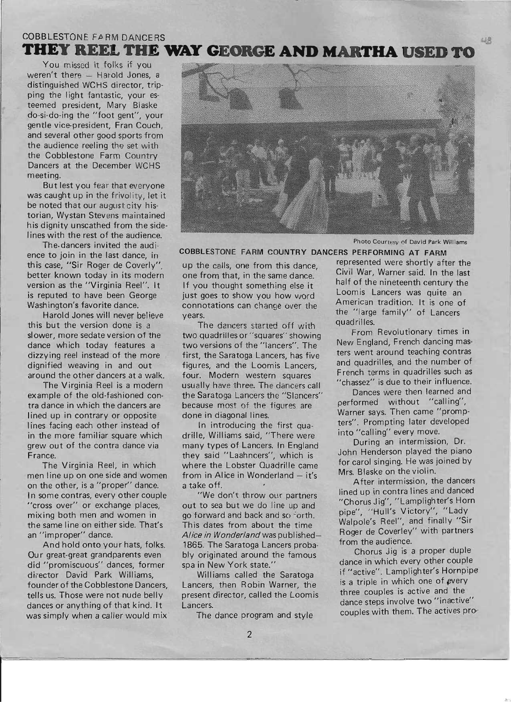# COBBLESTONE FARM DANCERS **THEY REEL THE WAY GEORGE AND MARTHA USED TO**

You missed it folks if you weren't there  $-$  Harold Jones, a distinguished WCHS director, tripping the light fantastic, your esteemed president, Mary Blaske do-si-do-ing the "foot gent", your gentle vice-president, Fran Couch, and several other good sports from the audience reeling the set with the Cobblestone Farm Country Dancers at the December WCHS meeting.

But lest you fear that everyone was caught up in the frivolity, let it be noted that our august city historian, Wystan Stevens maintained his dignity unscathed from the sidelines with the rest of the audience.

The.dancers invited the audience to join in the last dance, in this case, "Sir Roger de Coverly", better known today in its modern version as the "Virginia Reel". It is reputed to have been George Washington's favorite dance.

Harold Jones will never believe this but the version done is a slower, more sedate version of the dance wh ich today features a dizzying reel instead of the more dignified weaving in and out around the other dancers at a walk.

The Virginia Reel is a modern example of the old-fashioned contra dance in which the dancers are lined up in contrary or opposite lines facing each other instead of in the more familiar square which grew out of the contra dance via France.

The Virginia Reel, in which men line up on one side and women on the other, is a "proper" dance. In some contras, every other couple "cross over" or exchange places, mixing both men and women in the same line on either side. That's an "improper" dance.

And hold onto your hats, folks. Our great-great grandparents even did "promiscuous" dances, former director David Park Williams, founder of the Cobblestone Dancers, tells us. Those were not nude belly dances or anything of that kind. It was simply when a caller would mix



Photo Courtesy of David Park Williams

up the calls, one from this dance, represented were shortly after the one from that, in the same dance.' Civil War, Warner said. In the last If you thought something else it<br>iust goes to show you how word Loomis Lancers was quite an just goes to show you how word connotations can change over the American tradition. It is one of years.

The dancers started off with quadrilles.<br>quadrilles.or."squares" showing From Revolutionary times in two quadrilles or "squares" showing two versions of the "lancers". The New England, French dancing mas-<br>first the Saratoga Lancers has five ters went around teaching contras first, the Saratoga Lancers, has five the ters went around teaching contrast<br>figures, and the Loomis Langers and quadrilles, and the number of figures, and the Loomis Lancers, four. Modern western squares French terms in quadrilles such as usually have three. The dancers call "chassez" is due to their influence.<br>the Saratoga Lancers the "Slancers" Dances were then learned and the Saratoga Lancers the "Slancers" Dances were then learned and<br>because most of the figures are dependent without "calling", because most of the figures are done in diagonal lines.<br>done in diagonal lines.

drille, Williams said, "There were into "calling" every move.<br>many types of Lancers, in England During an intermission, Dr. many types of Lancers. In England During an intermission, Dr.<br>they said "Laphnesss", which is John Henderson played the piano they said "Laahncers", which is John Henderson played the piano<br>there the Lobetor Quadrille came for carol singing. He was joined by where the Lobster Quadrille came for carol singing. He was joint the Lobster Quadrille came for carol singing. He was j from in Alice in Wonderland  $-$  it's. a take off. After intermission, the dancers

we don't mow our partners<br>out to sea but we do line up and "Chorus Jig", "Lamplighter's Horn go forward and back and so forth. pipe", "Hull's Victory", "Lady go forward and back and so form.<br>This dates from about the time Walpole's Reel", and finally "Sir<br>Alice in Wanderland was published Roger de Coverley" with partners *Alice in Wonderland* was published-<br>1865. The Saratoga Lancers probald from the audience. 1865. The Saratoga Lancers proba-<br>https://www.mateural.com/state/series/state/series/state/series/state/series/state/series/state/series/state/ bly originated around the famous spa in New York state." dance in which every other couple

Lancers, then Robin Warner, the is a triple in which one of every present director, called the Loomis Lancers. **Lancers** involve two "inactive"

**COBBLESTONE FARM COUNTRY DANCERS PERFORMING AT FARM** 

In introducing the first qua-<br> **EXECUTE:** ters". Prompting later developed<br> **A Williams said "There were** into "calling" every move.

We don't throw our partners lined up in contra lines and danced

Williams called the Saratoga if "active". Lamplighter's Hornpipe<br>cors than Bobin Warner, the is a triple in which one of every The dance program and style couples with them. The actives pro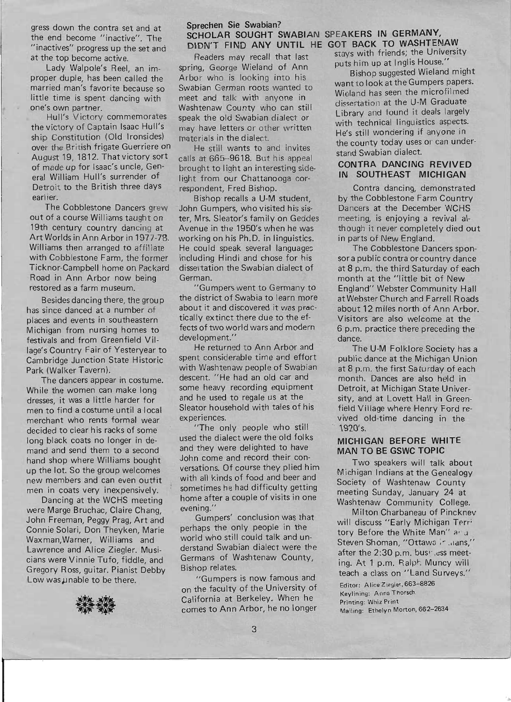gress down the contra set and at the end become "inactive". The "inactives" pr.ogress up the set and at the top become active.

Lady Walpole's Reel, an improper duple, has been called the married man's favorite because so little time is spent dancing with one's own partner.

Hull's Victory commemorates the victory of Captain Isaac Hull's ship Constitution (Old Ironsides) over the British frigate Guerriere on August 19, 1812. That victory sort of made up for Isaac's uncle, General William Hull's surrender of Detroit to the British three days earlier.

The Cobblestone Dancers grew out of a course Williams taught on 19th century country dancing at Art Worlds in Ann Arbor in 1977-78. Williams then arranged to affiliate with Cobblestone Farm, the former Ticknor-Campbell home on Packard Road in Ann Arbor now being restored as a farm museum.

Besides dancing there, the group has since danced at a number of places and events in southeastern Michigan from nursing homes to festivals and from Greenfield Village's Country Fair of Yesteryear to Cambridge Junction State Historic Park (Walker Tavern).

The dancers appear in costume. While the women can make long dresses, it was a little harder for men to find a costume until a local merchant who rents formal wear decided to clear his racks of some long black coats no longer in demand and send them to a second hand shop where Williams bought up the lot. So the group welcomes new members and can even outfit men in coats very inexpensively.

Dancing at the WCHS meeting were Marge Bruchac, Claire Chang, John Freeman, Peggy Prag, Art and Connie Solari, Don Theyken, Marie Waxman,Warner, Williams and Lawrence and Alice Ziegler. Musicians were Vinnie Tufo, fiddle, and Gregory Ross, guitar. Pianist Debby Low was unable to be there.



# **Sprechen Sie Swabian? SCHOLAR SOUGHT SWABIAN SPEAKERS IN GERMANY, DIDN'T FIND ANY UNTIL HE GOT BACK TO WASHTENAW**

Readers may recall that last spring, George Wieland of Ann Arbor who is looking into his Swabian German roots wanted to meet and talk with anyone in Washtenaw County who can still speak the old Swabian dialect or may have letters or other written materials in the dialect.

He still wants to and invites calls at 665--9618. But his appeal brought to light an interesting sidelight from our Chattanooga correspondent, Fred Bishop.

Bishop recalls a U-M student, John Gumpers, who visited his sister, Mrs. Sleator's family on Geddes Avenue in the 1950's when he was working on his Ph.D. in linguistics. He could speak several languages including Hindi and chose for his dissertation the Swabian dialect of German.

"Gumpers went to Germany to the district of Swabia to learn more about it and discovered it was practically extinct there due to the effects of two world wars and modern development."

He returned to Ann Arbor and spent considerable time and effort with Washtenaw people of Swabian descent. "He had an old car and some heavy recording equipment and he used to regale us at the Sleator household with tales of his experiences.

"The only people who still used the dialect were the old folks and they were delighted to have John come and record their conversations. Of course they plied him with all kinds of food and beer and sometimes he had difficulty getting home after a couple of visits in one evening."

Gumpers' conclusion was that perhaps the only people in the world who still could talk and understand Swabian dialect were the Germans of Washtenaw County, Bishop relates.

"Gumpers is now famous and on the faculty of the University of California at Berkeley. When he comes to Ann Arbor, he no longer stays with friends; the University puts him up at Inglis House."

Bishop suggested Wieland might want to look at the Gumpers papers. Wieland has seen the microfilmed dissertation at the U-M Graduate Library and found it deals largely with technical linguistics aspects. He's still wondering if anyone in the county today uses or can understand Swabian dialect.

#### **CONTRA DANCING REVIVED IN SOUTHEAST MICHIGAN**

Contra dancing, demonstrated by the Cobblestone Farm Country Dancers at the December WCHS meeting, is enjoying a revival although it never completely died out in parts of New England.

The Cobblestone Dancers sponsor a public contra orcountry dance at 8 p.m. the third Saturday of each month at the "Iittle bit of New England" Webster Community Hall at Webster Church and Farrell Roads about 12 miles north of Ann Arbor. Visitors are also welcome at the 6 p.m. practice there preceding the dance.

The U-M Folklore Society has a public dance at the Michigan Union at 8 p.m. the first Saturday of each month. Dances are also held in Detroit, at Michigan State University, and at Lovett Hall in Greenfield Village where Henry Ford revived old-time dancing in the 1920's.

# **MICHIGAN BEFORE WHITE MAN TO BE GSWC TOPIC**

Two speakers will talk about Michigan Indians at the Genealogy Society of Washtenaw County meeting Sunday, January 24 at Washtenaw Community College.

Milton Charbaneau of Pinckney will discuss "Early Michigan Terri tory Before the White Man" and Steven Shoman, "Ottawa in laans," after the 2:30 p.m. bus!" .ess meeting. At 1 p.m. Ralph Muncy will teach a class on "Land Surveys." Editor: Alice Ziegier, 663-8826 Keylining: Anna Thorsch Printing: Whiz Print Mailing: Ethelyn Morton, 662-2634

~ \_\_\_\_ ~ \_\_\_\_\_\_\_\_\_\_\_\_ ~ \_\_\_\_\_\_\_\_\_\_\_\_\_\_\_\_\_\_\_\_\_\_\_\_\_\_ ~ \_\_\_\_\_\_\_\_\_\_\_\_\_\_\_\_\_\_\_\_\_\_\_\_\_\_\_\_ J